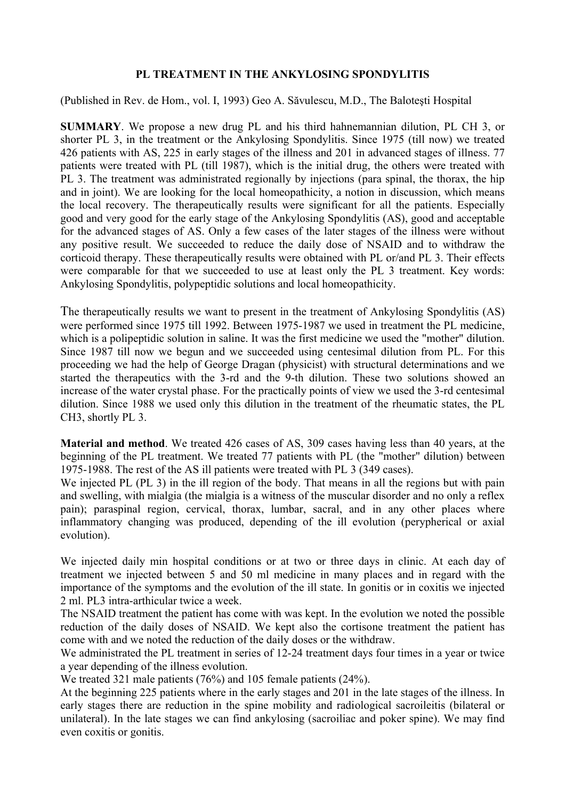## **PL TREATMENT IN THE ANKYLOSING SPONDYLITIS**

(Published in Rev. de Hom., vol. I, 1993) Geo A. Săvulescu, M.D., The Baloteşti Hospital

**SUMMARY**. We propose a new drug PL and his third hahnemannian dilution, PL CH 3, or shorter PL 3, in the treatment or the Ankylosing Spondylitis. Since 1975 (till now) we treated 426 patients with AS, 225 in early stages of the illness and 201 in advanced stages of illness. 77 patients were treated with PL (till 1987), which is the initial drug, the others were treated with PL 3. The treatment was administrated regionally by injections (para spinal, the thorax, the hip and in joint). We are looking for the local homeopathicity, a notion in discussion, which means the local recovery. The therapeutically results were significant for all the patients. Especially good and very good for the early stage of the Ankylosing Spondylitis (AS), good and acceptable for the advanced stages of AS. Only a few cases of the later stages of the illness were without any positive result. We succeeded to reduce the daily dose of NSAID and to withdraw the corticoid therapy. These therapeutically results were obtained with PL or/and PL 3. Their effects were comparable for that we succeeded to use at least only the PL 3 treatment. Key words: Ankylosing Spondylitis, polypeptidic solutions and local homeopathicity.

The therapeutically results we want to present in the treatment of Ankylosing Spondylitis (AS) were performed since 1975 till 1992. Between 1975-1987 we used in treatment the PL medicine, which is a polipeptidic solution in saline. It was the first medicine we used the "mother" dilution. Since 1987 till now we begun and we succeeded using centesimal dilution from PL. For this proceeding we had the help of George Dragan (physicist) with structural determinations and we started the therapeutics with the 3-rd and the 9-th dilution. These two solutions showed an increase of the water crystal phase. For the practically points of view we used the 3-rd centesimal dilution. Since 1988 we used only this dilution in the treatment of the rheumatic states, the PL CH3, shortly PL 3.

**Material and method**. We treated 426 cases of AS, 309 cases having less than 40 years, at the beginning of the PL treatment. We treated 77 patients with PL (the "mother" dilution) between 1975-1988. The rest of the AS ill patients were treated with PL 3 (349 cases).

We injected PL (PL 3) in the ill region of the body. That means in all the regions but with pain and swelling, with mialgia (the mialgia is a witness of the muscular disorder and no only a reflex pain); paraspinal region, cervical, thorax, lumbar, sacral, and in any other places where inflammatory changing was produced, depending of the ill evolution (perypherical or axial evolution).

We injected daily min hospital conditions or at two or three days in clinic. At each day of treatment we injected between 5 and 50 ml medicine in many places and in regard with the importance of the symptoms and the evolution of the ill state. In gonitis or in coxitis we injected 2 ml. PL3 intra-arthicular twice a week.

The NSAID treatment the patient has come with was kept. In the evolution we noted the possible reduction of the daily doses of NSAID. We kept also the cortisone treatment the patient has come with and we noted the reduction of the daily doses or the withdraw.

We administrated the PL treatment in series of 12-24 treatment days four times in a year or twice a year depending of the illness evolution.

We treated 321 male patients (76%) and 105 female patients (24%).

At the beginning 225 patients where in the early stages and 201 in the late stages of the illness. In early stages there are reduction in the spine mobility and radiological sacroileitis (bilateral or unilateral). In the late stages we can find ankylosing (sacroiliac and poker spine). We may find even coxitis or gonitis.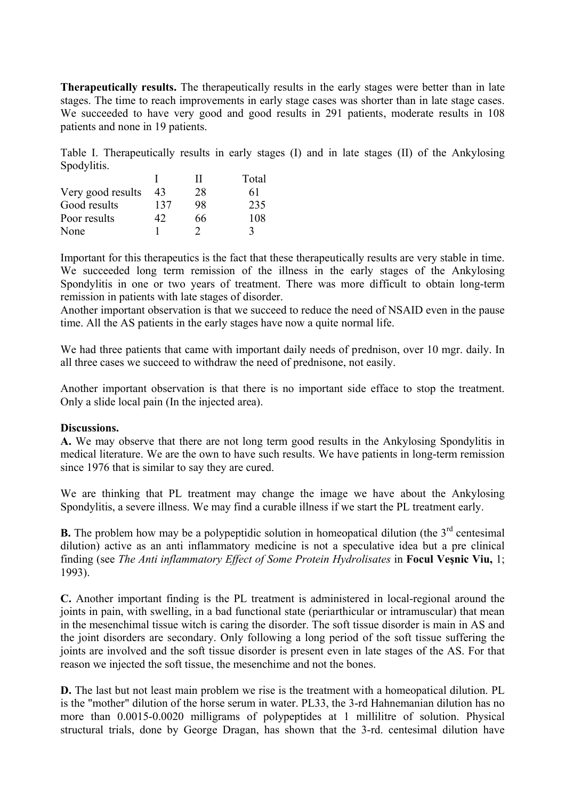**Therapeutically results.** The therapeutically results in the early stages were better than in late stages. The time to reach improvements in early stage cases was shorter than in late stage cases. We succeeded to have very good and good results in 291 patients, moderate results in 108 patients and none in 19 patients.

Table I. Therapeutically results in early stages (I) and in late stages (II) of the Ankylosing Spodylitis.

|                   |     | '' | Total |
|-------------------|-----|----|-------|
| Very good results | 43  | 28 | 61    |
| Good results      | 137 | 98 | 235   |
| Poor results      | 42  | 66 | 108   |
| None              |     |    |       |

Important for this therapeutics is the fact that these therapeutically results are very stable in time. We succeeded long term remission of the illness in the early stages of the Ankylosing Spondylitis in one or two years of treatment. There was more difficult to obtain long-term remission in patients with late stages of disorder.

Another important observation is that we succeed to reduce the need of NSAID even in the pause time. All the AS patients in the early stages have now a quite normal life.

We had three patients that came with important daily needs of prednison, over 10 mgr. daily. In all three cases we succeed to withdraw the need of prednisone, not easily.

Another important observation is that there is no important side efface to stop the treatment. Only a slide local pain (In the injected area).

## **Discussions.**

**A.** We may observe that there are not long term good results in the Ankylosing Spondylitis in medical literature. We are the own to have such results. We have patients in long-term remission since 1976 that is similar to say they are cured.

We are thinking that PL treatment may change the image we have about the Ankylosing Spondylitis, a severe illness. We may find a curable illness if we start the PL treatment early.

**B.** The problem how may be a polypeptidic solution in homeopatical dilution (the  $3<sup>rd</sup>$  centesimal dilution) active as an anti inflammatory medicine is not a speculative idea but a pre clinical finding (see *The Anti inflammatory Effect of Some Protein Hydrolisates* in **Focul Veşnic Viu,** 1; 1993).

**C.** Another important finding is the PL treatment is administered in local-regional around the joints in pain, with swelling, in a bad functional state (periarthicular or intramuscular) that mean in the mesenchimal tissue witch is caring the disorder. The soft tissue disorder is main in AS and the joint disorders are secondary. Only following a long period of the soft tissue suffering the joints are involved and the soft tissue disorder is present even in late stages of the AS. For that reason we injected the soft tissue, the mesenchime and not the bones.

**D.** The last but not least main problem we rise is the treatment with a homeopatical dilution. PL is the "mother" dilution of the horse serum in water. PL33, the 3-rd Hahnemanian dilution has no more than 0.0015-0.0020 milligrams of polypeptides at 1 millilitre of solution. Physical structural trials, done by George Dragan, has shown that the 3-rd. centesimal dilution have